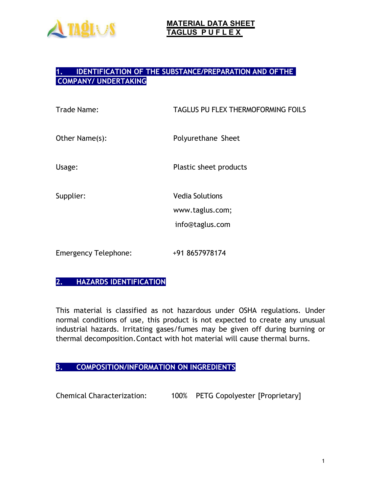

## **1. IDENTIFICATION OF THE SUBSTANCE/PREPARATION AND OFTHE COMPANY/ UNDERTAKING**

| Trade Name:                 | TAGLUS PU FLEX THERMOFORMING FOILS                           |
|-----------------------------|--------------------------------------------------------------|
| Other Name(s):              | Polyurethane Sheet                                           |
| Usage:                      | Plastic sheet products                                       |
| Supplier:                   | <b>Vedia Solutions</b><br>www.taglus.com;<br>info@taglus.com |
| <b>Emergency Telephone:</b> | +91 8657978174                                               |

# **2. HAZARDS IDENTIFICATION**

This material is classified as not hazardous under OSHA regulations. Under normal conditions of use, this product is not expected to create any unusual industrial hazards. Irritating gases/fumes may be given off during burning or thermal decomposition.Contact with hot material will cause thermal burns.

## **3. COMPOSITION/INFORMATION ON INGREDIENTS**

Chemical Characterization: 100% PETG Copolyester [Proprietary]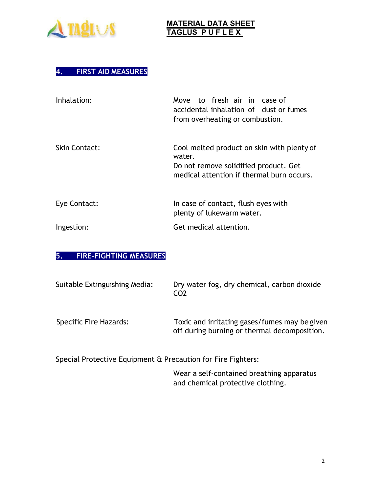

# **4. FIRST AID MEASURES**

| Inhalation:          | Move to fresh air in case of<br>accidental inhalation of dust or fumes<br>from overheating or combustion.                                  |
|----------------------|--------------------------------------------------------------------------------------------------------------------------------------------|
| <b>Skin Contact:</b> | Cool melted product on skin with plenty of<br>water.<br>Do not remove solidified product. Get<br>medical attention if thermal burn occurs. |
| Eye Contact:         | In case of contact, flush eyes with<br>plenty of lukewarm water.                                                                           |
| Ingestion:           | Get medical attention.                                                                                                                     |

#### **5. FIRE-FIGHTING MEASURES**

| Suitable Extinguishing Media: | Dry water fog, dry chemical, carbon dioxide<br>CO <sub>2</sub>                                |
|-------------------------------|-----------------------------------------------------------------------------------------------|
| Specific Fire Hazards:        | Toxic and irritating gases/fumes may be given<br>off during burning or thermal decomposition. |
|                               |                                                                                               |

Special Protective Equipment & Precaution for Fire Fighters:

Wear a self-contained breathing apparatus and chemical protective clothing.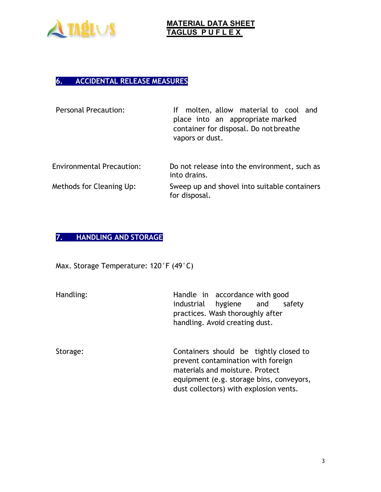

# **6. ACCIDENTAL RELEASE MEASURES**

| molten, allow material to cool and<br>lf.<br>place into an appropriate marked<br>container for disposal. Do not breathe<br>vapors or dust. |
|--------------------------------------------------------------------------------------------------------------------------------------------|
| Do not release into the environment, such as<br>into drains.                                                                               |
| Sweep up and shovel into suitable containers<br>for disposal.                                                                              |
|                                                                                                                                            |

# **7. HANDLING AND STORAGE**

Max. Storage Temperature: 120°F (49°C)

| Handling: | Handle in accordance with good<br>industrial<br>hygiene and<br>safety<br>practices. Wash thoroughly after<br>handling. Avoid creating dust.                                                           |
|-----------|-------------------------------------------------------------------------------------------------------------------------------------------------------------------------------------------------------|
| Storage:  | Containers should be tightly closed to<br>prevent contamination with foreign<br>materials and moisture. Protect<br>equipment (e.g. storage bins, conveyors,<br>dust collectors) with explosion vents. |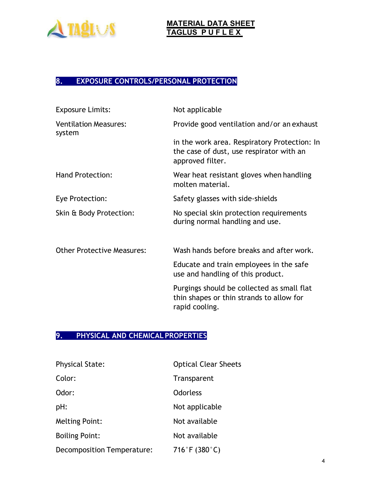

# **8. EXPOSURE CONTROLS/PERSONAL PROTECTION**

| <b>Exposure Limits:</b>                | Not applicable                                                                                               |
|----------------------------------------|--------------------------------------------------------------------------------------------------------------|
| <b>Ventilation Measures:</b><br>system | Provide good ventilation and/or an exhaust                                                                   |
|                                        | in the work area. Respiratory Protection: In<br>the case of dust, use respirator with an<br>approved filter. |
| <b>Hand Protection:</b>                | Wear heat resistant gloves when handling<br>molten material.                                                 |
| Eye Protection:                        | Safety glasses with side-shields                                                                             |
| Skin & Body Protection:                | No special skin protection requirements<br>during normal handling and use.                                   |
| <b>Other Protective Measures:</b>      | Wash hands before breaks and after work.                                                                     |
|                                        | Educate and train employees in the safe<br>use and handling of this product.                                 |
|                                        | Purgings should be collected as small flat<br>thin shapes or thin strands to allow for<br>rapid cooling.     |

## **9. PHYSICAL AND CHEMICAL PROPERTIES**

| <b>Physical State:</b>     | <b>Optical Clear Sheets</b> |
|----------------------------|-----------------------------|
| Color:                     | Transparent                 |
| Odor:                      | <b>Odorless</b>             |
| pH:                        | Not applicable              |
| <b>Melting Point:</b>      | Not available               |
| <b>Boiling Point:</b>      | Not available               |
| Decomposition Temperature: | 716°F (380°C)               |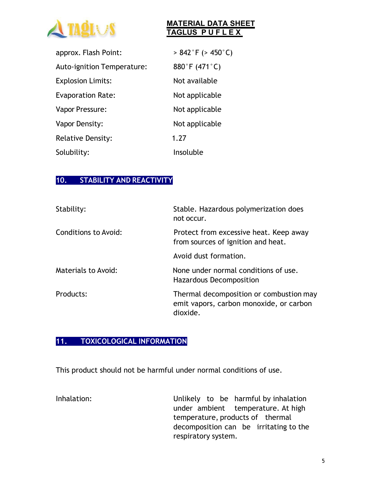

| approx. Flash Point:       | $> 842$ °F ( $> 450$ °C) |
|----------------------------|--------------------------|
| Auto-ignition Temperature: | 880°F (471°C)            |
| <b>Explosion Limits:</b>   | Not available            |
| <b>Evaporation Rate:</b>   | Not applicable           |
| Vapor Pressure:            | Not applicable           |
| Vapor Density:             | Not applicable           |
| <b>Relative Density:</b>   | 1.27                     |
| Solubility:                | Insoluble                |

#### **10. STABILITY AND REACTIVITY**

| Stability:                  | Stable. Hazardous polymerization does<br>not occur.                                            |
|-----------------------------|------------------------------------------------------------------------------------------------|
| <b>Conditions to Avoid:</b> | Protect from excessive heat. Keep away<br>from sources of ignition and heat.                   |
|                             | Avoid dust formation.                                                                          |
| Materials to Avoid:         | None under normal conditions of use.<br>Hazardous Decomposition                                |
| Products:                   | Thermal decomposition or combustion may<br>emit vapors, carbon monoxide, or carbon<br>dioxide. |

#### **11. TOXICOLOGICAL INFORMATION**

This product should not be harmful under normal conditions of use.

Inhalation: Unlikely to be harmful by inhalation under ambient temperature. At high temperature, products of thermal decomposition can be irritating to the respiratory system.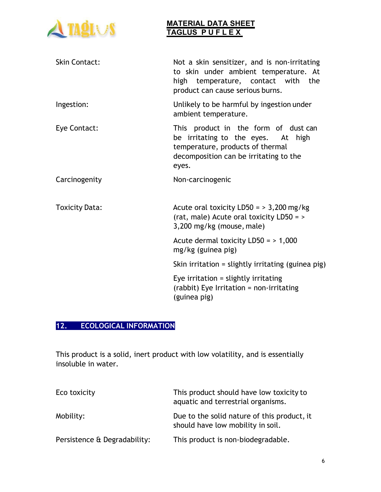

| <b>Skin Contact:</b>  | Not a skin sensitizer, and is non-irritating<br>to skin under ambient temperature. At<br>high temperature, contact with the<br>product can cause serious burns.   |
|-----------------------|-------------------------------------------------------------------------------------------------------------------------------------------------------------------|
| Ingestion:            | Unlikely to be harmful by ingestion under<br>ambient temperature.                                                                                                 |
| Eye Contact:          | This product in the form of dust can<br>be irritating to the eyes. At high<br>temperature, products of thermal<br>decomposition can be irritating to the<br>eyes. |
| Carcinogenity         | Non-carcinogenic                                                                                                                                                  |
| <b>Toxicity Data:</b> | Acute oral toxicity LD50 = $>$ 3,200 mg/kg<br>(rat, male) Acute oral toxicity LD50 = ><br>3,200 mg/kg (mouse, male)                                               |
|                       | Acute dermal toxicity $LD50 = 1,000$<br>mg/kg (guinea pig)                                                                                                        |
|                       | Skin irritation = slightly irritating (guinea pig)                                                                                                                |
|                       | Eye irritation $=$ slightly irritating<br>(rabbit) Eye Irritation = non-irritating<br>(guinea pig)                                                                |

# **12. ECOLOGICAL INFORMATION**

This product is a solid, inert product with low volatility, and is essentially insoluble in water.

| Eco toxicity                 | This product should have low toxicity to<br>aquatic and terrestrial organisms.   |
|------------------------------|----------------------------------------------------------------------------------|
| Mobility:                    | Due to the solid nature of this product, it<br>should have low mobility in soil. |
| Persistence & Degradability: | This product is non-biodegradable.                                               |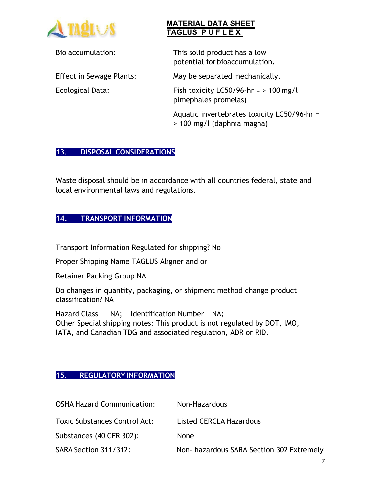

Bio accumulation: This solid product has a low potential for bioaccumulation.

Effect in Sewage Plants: May be separated mechanically.

Ecological Data: Fish toxicity LC50/96-hr = > 100 mg/l pimephales promelas)

> Aquatic invertebrates toxicity LC50/96-hr = > 100 mg/l (daphnia magna)

# **13. DISPOSAL CONSIDERATIONS**

Waste disposal should be in accordance with all countries federal, state and local environmental laws and regulations.

# **14. TRANSPORT INFORMATION**

Transport Information Regulated for shipping? No

Proper Shipping Name TAGLUS Aligner and or

Retainer Packing Group NA

Do changes in quantity, packaging, or shipment method change product classification? NA

Hazard Class NA; Identification Number NA; Other Special shipping notes: This product is not regulated by DOT, IMO, IATA, and Canadian TDG and associated regulation, ADR or RID.

## **15. REGULATORY INFORMATION**

| <b>OSHA Hazard Communication:</b>    | Non-Hazardous                            |
|--------------------------------------|------------------------------------------|
| <b>Toxic Substances Control Act:</b> | Listed CERCLA Hazardous                  |
| Substances (40 CFR 302):             | None                                     |
| SARA Section 311/312:                | Non-hazardous SARA Section 302 Extremely |